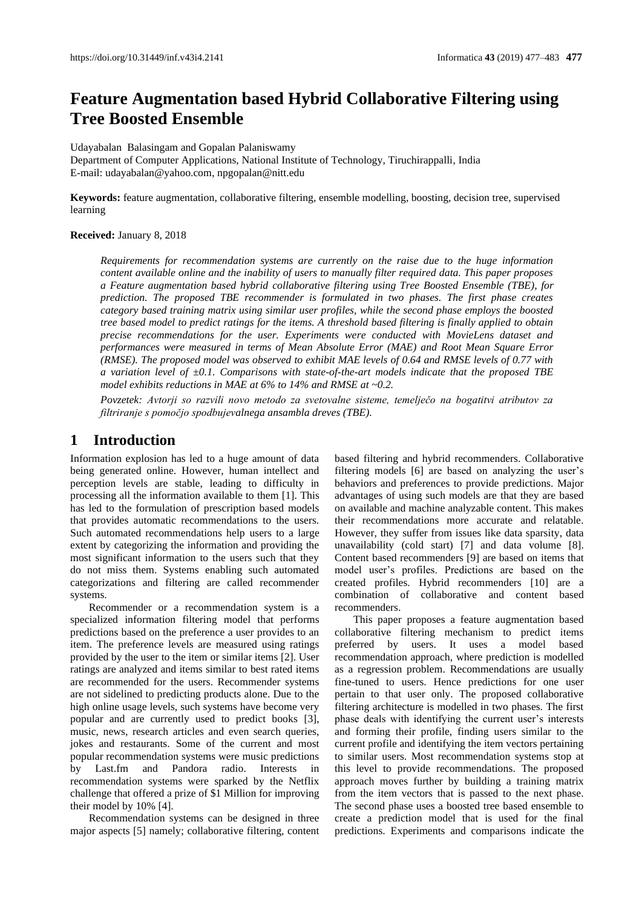# **Feature Augmentation based Hybrid Collaborative Filtering using Tree Boosted Ensemble**

Udayabalan Balasingam and Gopalan Palaniswamy Department of Computer Applications, National Institute of Technology, Tiruchirappalli, India E-mail[: udayabalan@yahoo.com,](mailto:udayabalan@yahoo.com) npgopalan@nitt.edu

**Keywords:** feature augmentation, collaborative filtering, ensemble modelling, boosting, decision tree, supervised learning

#### **Received:** January 8, 2018

*Requirements for recommendation systems are currently on the raise due to the huge information content available online and the inability of users to manually filter required data. This paper proposes a Feature augmentation based hybrid collaborative filtering using Tree Boosted Ensemble (TBE), for prediction. The proposed TBE recommender is formulated in two phases. The first phase creates category based training matrix using similar user profiles, while the second phase employs the boosted tree based model to predict ratings for the items. A threshold based filtering is finally applied to obtain precise recommendations for the user. Experiments were conducted with MovieLens dataset and performances were measured in terms of Mean Absolute Error (MAE) and Root Mean Square Error (RMSE). The proposed model was observed to exhibit MAE levels of 0.64 and RMSE levels of 0.77 with a variation level of ±0.1. Comparisons with state-of-the-art models indicate that the proposed TBE model exhibits reductions in MAE at 6% to 14% and RMSE at ~0.2.*

*Povzetek: Avtorji so razvili novo metodo za svetovalne sisteme, temelječo na bogatitvi atributov za filtriranje s pomočjo spodbujevalnega ansambla dreves (TBE).*

### **1 Introduction**

Information explosion has led to a huge amount of data being generated online. However, human intellect and perception levels are stable, leading to difficulty in processing all the information available to them [1]. This has led to the formulation of prescription based models that provides automatic recommendations to the users. Such automated recommendations help users to a large extent by categorizing the information and providing the most significant information to the users such that they do not miss them. Systems enabling such automated categorizations and filtering are called recommender systems.

Recommender or a recommendation system is a specialized information filtering model that performs predictions based on the preference a user provides to an item. The preference levels are measured using ratings provided by the user to the item or similar items [2]. User ratings are analyzed and items similar to best rated items are recommended for the users. Recommender systems are not sidelined to predicting products alone. Due to the high online usage levels, such systems have become very popular and are currently used to predict books [3], music, news, research articles and even search queries, jokes and restaurants. Some of the current and most popular recommendation systems were music predictions by Last.fm and Pandora radio. Interests in recommendation systems were sparked by the Netflix challenge that offered a prize of \$1 Million for improving their model by 10% [4].

Recommendation systems can be designed in three major aspects [5] namely; collaborative filtering, content based filtering and hybrid recommenders. Collaborative filtering models [6] are based on analyzing the user's behaviors and preferences to provide predictions. Major advantages of using such models are that they are based on available and machine analyzable content. This makes their recommendations more accurate and relatable. However, they suffer from issues like data sparsity, data unavailability (cold start) [7] and data volume [8]. Content based recommenders [9] are based on items that model user's profiles. Predictions are based on the created profiles. Hybrid recommenders [10] are a combination of collaborative and content based recommenders.

This paper proposes a feature augmentation based collaborative filtering mechanism to predict items preferred by users. It uses a model based recommendation approach, where prediction is modelled as a regression problem. Recommendations are usually fine-tuned to users. Hence predictions for one user pertain to that user only. The proposed collaborative filtering architecture is modelled in two phases. The first phase deals with identifying the current user's interests and forming their profile, finding users similar to the current profile and identifying the item vectors pertaining to similar users. Most recommendation systems stop at this level to provide recommendations. The proposed approach moves further by building a training matrix from the item vectors that is passed to the next phase. The second phase uses a boosted tree based ensemble to create a prediction model that is used for the final predictions. Experiments and comparisons indicate the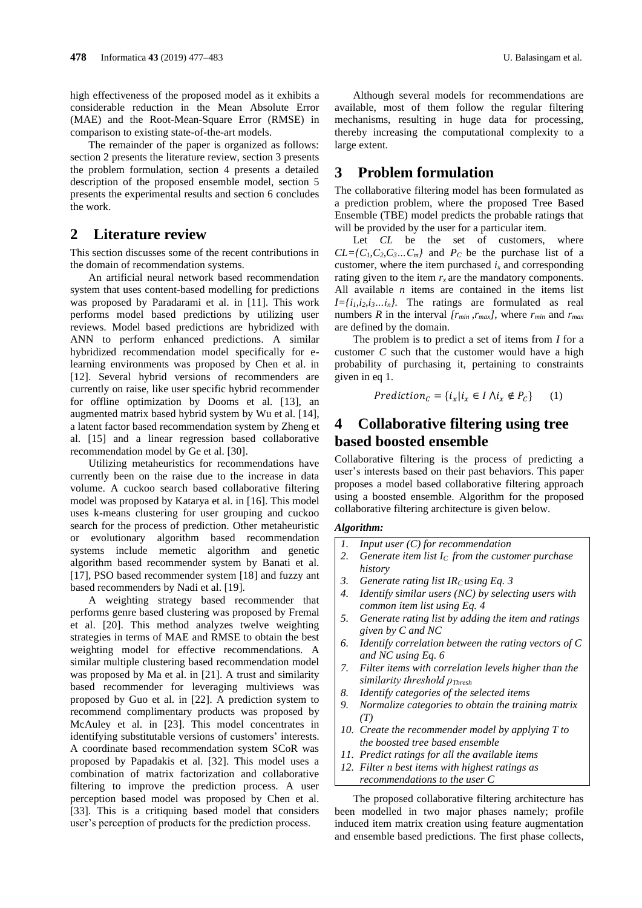high effectiveness of the proposed model as it exhibits a considerable reduction in the Mean Absolute Error (MAE) and the Root-Mean-Square Error (RMSE) in comparison to existing state-of-the-art models.

The remainder of the paper is organized as follows: section 2 presents the literature review, section 3 presents the problem formulation, section 4 presents a detailed description of the proposed ensemble model, section 5 presents the experimental results and section 6 concludes the work.

### **2 Literature review**

This section discusses some of the recent contributions in the domain of recommendation systems.

An artificial neural network based recommendation system that uses content-based modelling for predictions was proposed by Paradarami et al. in [11]. This work performs model based predictions by utilizing user reviews. Model based predictions are hybridized with ANN to perform enhanced predictions. A similar hybridized recommendation model specifically for elearning environments was proposed by Chen et al. in [12]. Several hybrid versions of recommenders are currently on raise, like user specific hybrid recommender for offline optimization by Dooms et al. [13], an augmented matrix based hybrid system by Wu et al. [14], a latent factor based recommendation system by Zheng et al. [15] and a linear regression based collaborative recommendation model by Ge et al. [30].

Utilizing metaheuristics for recommendations have currently been on the raise due to the increase in data volume. A cuckoo search based collaborative filtering model was proposed by Katarya et al. in [16]. This model uses k-means clustering for user grouping and cuckoo search for the process of prediction. Other metaheuristic or evolutionary algorithm based recommendation systems include memetic algorithm and genetic algorithm based recommender system by Banati et al. [17], PSO based recommender system [18] and fuzzy ant based recommenders by Nadi et al. [19].

A weighting strategy based recommender that performs genre based clustering was proposed by Fremal et al. [20]. This method analyzes twelve weighting strategies in terms of MAE and RMSE to obtain the best weighting model for effective recommendations. A similar multiple clustering based recommendation model was proposed by Ma et al. in [21]. A trust and similarity based recommender for leveraging multiviews was proposed by Guo et al. in [22]. A prediction system to recommend complimentary products was proposed by McAuley et al. in [23]. This model concentrates in identifying substitutable versions of customers' interests. A coordinate based recommendation system SCoR was proposed by Papadakis et al. [32]. This model uses a combination of matrix factorization and collaborative filtering to improve the prediction process. A user perception based model was proposed by Chen et al. [33]. This is a critiquing based model that considers user's perception of products for the prediction process.

Although several models for recommendations are available, most of them follow the regular filtering mechanisms, resulting in huge data for processing, thereby increasing the computational complexity to a large extent.

### **3 Problem formulation**

The collaborative filtering model has been formulated as a prediction problem, where the proposed Tree Based Ensemble (TBE) model predicts the probable ratings that will be provided by the user for a particular item.

Let *CL* be the set of customers, where  $CL = \{C_1, C_2, C_3, \ldots, C_m\}$  and  $P_C$  be the purchase list of a customer, where the item purchased  $i<sub>x</sub>$  and corresponding rating given to the item  $r_x$  are the mandatory components. All available *n* items are contained in the items list  $I = \{i_1, i_2, i_3, \ldots, i_n\}$ . The ratings are formulated as real numbers *R* in the interval  $[r_{min}, r_{max}]$ , where  $r_{min}$  and  $r_{max}$ are defined by the domain*.*

The problem is to predict a set of items from *I* for a customer *C* such that the customer would have a high probability of purchasing it, pertaining to constraints given in eq 1.

$$
Prediction_C = \{ i_x | i_x \in I \land i_x \notin P_C \} \qquad (1)
$$

## **4 Collaborative filtering using tree based boosted ensemble**

Collaborative filtering is the process of predicting a user's interests based on their past behaviors. This paper proposes a model based collaborative filtering approach using a boosted ensemble. Algorithm for the proposed collaborative filtering architecture is given below.

#### *Algorithm:*

- *1. Input user (C) for recommendation*
- *2. Generate item list IC from the customer purchase history*
- *3. Generate rating list IRC using Eq. 3*
- *4. Identify similar users (NC) by selecting users with common item list using Eq. 4*
- *5. Generate rating list by adding the item and ratings given by C and NC*
- *6. Identify correlation between the rating vectors of C and NC using Eq. 6*
- *7. Filter items with correlation levels higher than the similarity threshold ρThresh*
- *8. Identify categories of the selected items*
- *9. Normalize categories to obtain the training matrix (T)*
- *10. Create the recommender model by applying T to the boosted tree based ensemble*
- *11. Predict ratings for all the available items*
- *12. Filter n best items with highest ratings as recommendations to the user C*

The proposed collaborative filtering architecture has been modelled in two major phases namely; profile induced item matrix creation using feature augmentation and ensemble based predictions. The first phase collects,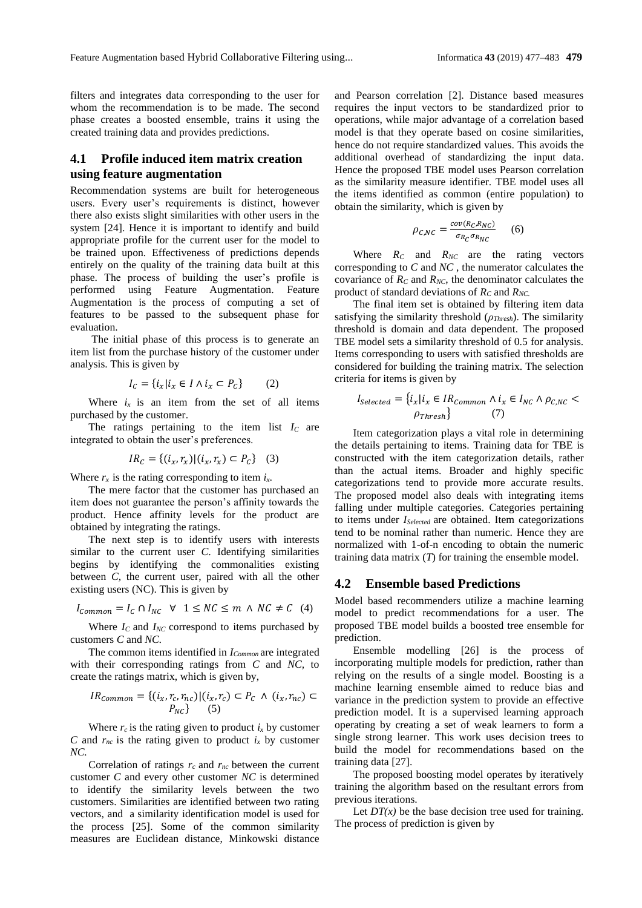filters and integrates data corresponding to the user for whom the recommendation is to be made. The second phase creates a boosted ensemble, trains it using the created training data and provides predictions.

#### **4.1 Profile induced item matrix creation using feature augmentation**

Recommendation systems are built for heterogeneous users. Every user's requirements is distinct, however there also exists slight similarities with other users in the system [24]. Hence it is important to identify and build appropriate profile for the current user for the model to be trained upon. Effectiveness of predictions depends entirely on the quality of the training data built at this phase. The process of building the user's profile is performed using Feature Augmentation. Feature Augmentation is the process of computing a set of features to be passed to the subsequent phase for evaluation.

The initial phase of this process is to generate an item list from the purchase history of the customer under analysis. This is given by

$$
I_C = \{i_x | i_x \in I \land i_x \subset P_C\} \tag{2}
$$

Where  $i_x$  is an item from the set of all items purchased by the customer.

The ratings pertaining to the item list  $I_c$  are integrated to obtain the user's preferences.

$$
IR_C = \{(i_x, r_x) | (i_x, r_x) \subset P_C\}
$$
 (3)

Where  $r_x$  is the rating corresponding to item  $i_x$ .

The mere factor that the customer has purchased an item does not guarantee the person's affinity towards the product. Hence affinity levels for the product are obtained by integrating the ratings.

The next step is to identify users with interests similar to the current user *C*. Identifying similarities begins by identifying the commonalities existing between *C,* the current user, paired with all the other existing users (NC). This is given by

$$
I_{Common} = I_C \cap I_{NC} \quad \forall \quad 1 \le NC \le m \quad \land \quad NC \neq C \quad (4)
$$

Where  $I_C$  and  $I_{NC}$  correspond to items purchased by customers *C* and *NC.*

The common items identified in *ICommon* are integrated with their corresponding ratings from *C* and *NC,* to create the ratings matrix, which is given by,

$$
IR_{common} = \{(i_x, r_c, r_{nc}) | (i_x, r_c) \subset P_c \land (i_x, r_{nc}) \subset P_{NC}\}\n \tag{5}
$$

Where  $r_c$  is the rating given to product  $i_x$  by customer *C* and  $r_{nc}$  is the rating given to product  $i_x$  by customer *NC.*

Correlation of ratings  $r_c$  and  $r_{nc}$  between the current customer *C* and every other customer *NC* is determined to identify the similarity levels between the two customers. Similarities are identified between two rating vectors, and a similarity identification model is used for the process [25]. Some of the common similarity measures are Euclidean distance, Minkowski distance and Pearson correlation [2]. Distance based measures requires the input vectors to be standardized prior to operations, while major advantage of a correlation based model is that they operate based on cosine similarities, hence do not require standardized values. This avoids the additional overhead of standardizing the input data. Hence the proposed TBE model uses Pearson correlation as the similarity measure identifier. TBE model uses all the items identified as common (entire population) to obtain the similarity, which is given by

$$
\rho_{C,NC} = \frac{cov(R_C, R_{NC})}{\sigma_{R_C} \sigma_{R_{NC}}} \qquad (6)
$$

Where  $R_C$  and  $R_{NC}$  are the rating vectors corresponding to *C* and *NC* , the numerator calculates the covariance of  $R_C$  and  $R_{NC}$ , the denominator calculates the product of standard deviations of *R<sup>C</sup>* and *RNC.*

The final item set is obtained by filtering item data satisfying the similarity threshold (*ρThresh*). The similarity threshold is domain and data dependent. The proposed TBE model sets a similarity threshold of 0.5 for analysis. Items corresponding to users with satisfied thresholds are considered for building the training matrix. The selection criteria for items is given by

$$
I_{Selected} = \{i_x | i_x \in IR_{Common} \land i_x \in I_{NC} \land \rho_{C,NC} < \rho_{Thresh}\} \tag{7}
$$

Item categorization plays a vital role in determining the details pertaining to items. Training data for TBE is constructed with the item categorization details, rather than the actual items. Broader and highly specific categorizations tend to provide more accurate results. The proposed model also deals with integrating items falling under multiple categories. Categories pertaining to items under *ISelected* are obtained. Item categorizations tend to be nominal rather than numeric. Hence they are normalized with 1-of-n encoding to obtain the numeric training data matrix (*T*) for training the ensemble model.

#### **4.2 Ensemble based Predictions**

Model based recommenders utilize a machine learning model to predict recommendations for a user. The proposed TBE model builds a boosted tree ensemble for prediction.

Ensemble modelling [26] is the process of incorporating multiple models for prediction, rather than relying on the results of a single model. Boosting is a machine learning ensemble aimed to reduce bias and variance in the prediction system to provide an effective prediction model. It is a supervised learning approach operating by creating a set of weak learners to form a single strong learner. This work uses decision trees to build the model for recommendations based on the training data [27].

The proposed boosting model operates by iteratively training the algorithm based on the resultant errors from previous iterations.

Let  $DT(x)$  be the base decision tree used for training. The process of prediction is given by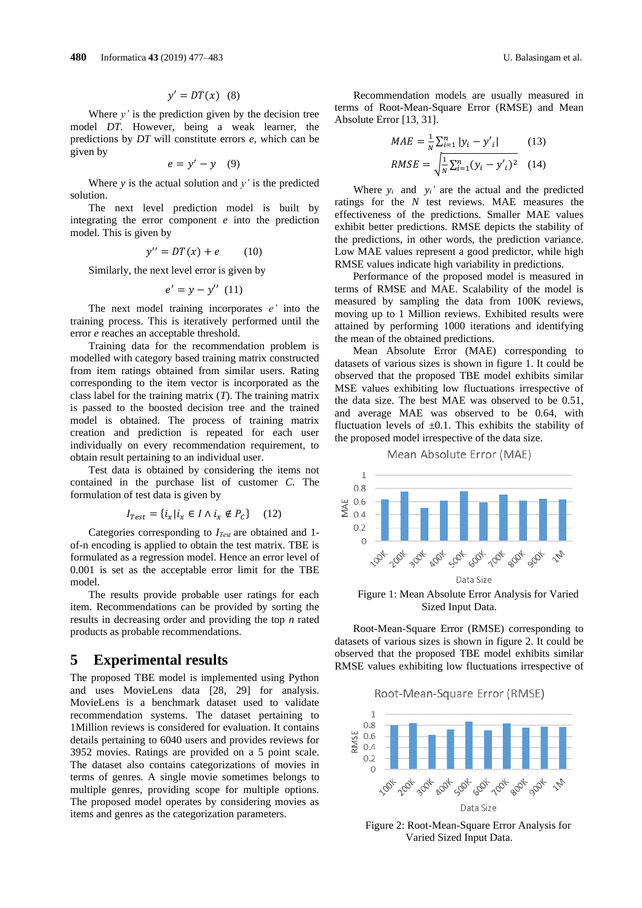$$
y' = DT(x) \quad (8)
$$

Where  $y'$  is the prediction given by the decision tree model *DT.* However, being a weak learner, the predictions by *DT* will constitute errors *e,* which can be given by

$$
e = y' - y \quad (9)
$$

Where  $y$  is the actual solution and  $y'$  is the predicted solution.

The next level prediction model is built by integrating the error component *e* into the prediction model. This is given by

$$
y'' = DT(x) + e \qquad (10)
$$

Similarly, the next level error is given by

$$
e'=y-y''\ (11)
$$

The next model training incorporates *e'* into the training process. This is iteratively performed until the error *e* reaches an acceptable threshold.

Training data for the recommendation problem is modelled with category based training matrix constructed from item ratings obtained from similar users. Rating corresponding to the item vector is incorporated as the class label for the training matrix (*T*). The training matrix is passed to the boosted decision tree and the trained model is obtained. The process of training matrix creation and prediction is repeated for each user individually on every recommendation requirement, to obtain result pertaining to an individual user.

Test data is obtained by considering the items not contained in the purchase list of customer *C.* The formulation of test data is given by

$$
I_{Test} = \{i_x | i_x \in I \land i_x \notin P_C\} \quad (12)
$$

Categories corresponding to *ITest* are obtained and 1 of-n encoding is applied to obtain the test matrix. TBE is formulated as a regression model. Hence an error level of 0.001 is set as the acceptable error limit for the TBE model.

The results provide probable user ratings for each item. Recommendations can be provided by sorting the results in decreasing order and providing the top *n* rated products as probable recommendations.

### **5 Experimental results**

The proposed TBE model is implemented using Python and uses MovieLens data [28, 29] for analysis. MovieLens is a benchmark dataset used to validate recommendation systems. The dataset pertaining to 1Million reviews is considered for evaluation. It contains details pertaining to 6040 users and provides reviews for 3952 movies. Ratings are provided on a 5 point scale. The dataset also contains categorizations of movies in terms of genres. A single movie sometimes belongs to multiple genres, providing scope for multiple options. The proposed model operates by considering movies as items and genres as the categorization parameters.

Recommendation models are usually measured in terms of Root-Mean-Square Error (RMSE) and Mean Absolute Error [13, 31].

$$
MAE = \frac{1}{N} \sum_{i=1}^{n} |y_i - y'_i|
$$
 (13)  

$$
RMSE = \sqrt{\frac{1}{N} \sum_{i=1}^{n} (y_i - y'_i)^2}
$$
 (14)

Where  $y_i$  and  $y_i'$  are the actual and the predicted ratings for the *N* test reviews. MAE measures the effectiveness of the predictions. Smaller MAE values exhibit better predictions. RMSE depicts the stability of the predictions, in other words, the prediction variance. Low MAE values represent a good predictor, while high RMSE values indicate high variability in predictions.

Performance of the proposed model is measured in terms of RMSE and MAE. Scalability of the model is measured by sampling the data from 100K reviews, moving up to 1 Million reviews. Exhibited results were attained by performing 1000 iterations and identifying the mean of the obtained predictions.

Mean Absolute Error (MAE) corresponding to datasets of various sizes is shown in figure 1. It could be observed that the proposed TBE model exhibits similar MSE values exhibiting low fluctuations irrespective of the data size. The best MAE was observed to be 0.51, and average MAE was observed to be 0.64, with fluctuation levels of  $\pm 0.1$ . This exhibits the stability of the proposed model irrespective of the data size.

#### Mean Absolute Error (MAE)



Figure 1: Mean Absolute Error Analysis for Varied Sized Input Data.

Root-Mean-Square Error (RMSE) corresponding to datasets of various sizes is shown in figure 2. It could be observed that the proposed TBE model exhibits similar RMSE values exhibiting low fluctuations irrespective of

Root-Mean-Square Error (RMSE)



Figure 2: Root-Mean-Square Error Analysis for Varied Sized Input Data.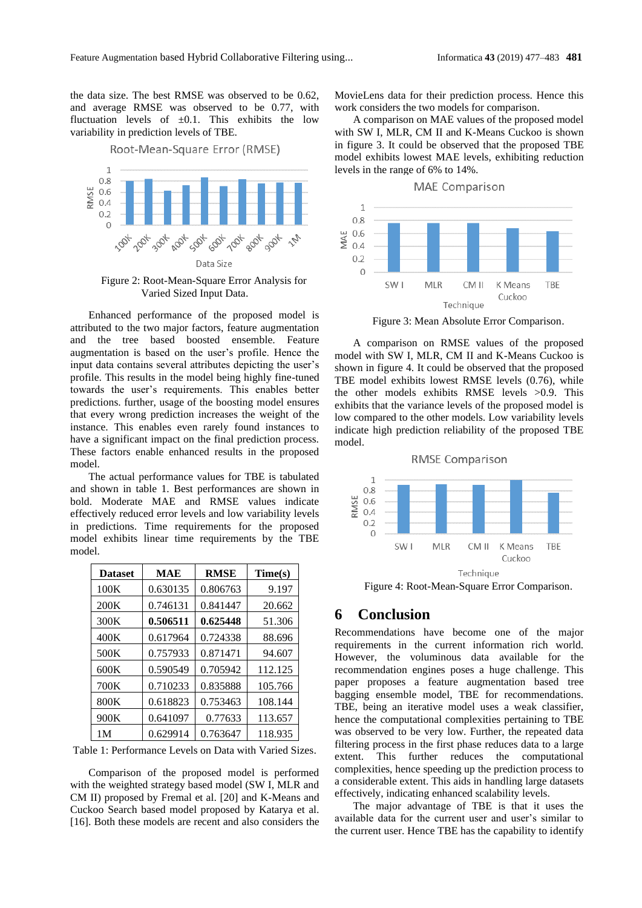the data size. The best RMSE was observed to be 0.62, and average RMSE was observed to be 0.77, with fluctuation levels of  $\pm 0.1$ . This exhibits the low variability in prediction levels of TBE.

#### Root-Mean-Square Error (RMSE)  $\mathbf{1}$  $0.8$  $\frac{15}{6}$  0.6  $0.2$  $\bigcap$ **ADOX** 3004 **SOOK 600X 000**+ 1004 1004-004 Data Size

Figure 2: Root-Mean-Square Error Analysis for Varied Sized Input Data.

Enhanced performance of the proposed model is attributed to the two major factors, feature augmentation and the tree based boosted ensemble. Feature augmentation is based on the user's profile. Hence the input data contains several attributes depicting the user's profile. This results in the model being highly fine-tuned towards the user's requirements. This enables better predictions. further, usage of the boosting model ensures that every wrong prediction increases the weight of the instance. This enables even rarely found instances to have a significant impact on the final prediction process. These factors enable enhanced results in the proposed model.

The actual performance values for TBE is tabulated and shown in table 1. Best performances are shown in bold. Moderate MAE and RMSE values indicate effectively reduced error levels and low variability levels in predictions. Time requirements for the proposed model exhibits linear time requirements by the TBE model.

| <b>Dataset</b> | <b>MAE</b> | <b>RMSE</b> | Time(s) |
|----------------|------------|-------------|---------|
| 100K           | 0.630135   | 0.806763    | 9.197   |
| 200K           | 0.746131   | 0.841447    | 20.662  |
| 300K           | 0.506511   | 0.625448    | 51.306  |
| 400K           | 0.617964   | 0.724338    | 88.696  |
| 500K           | 0.757933   | 0.871471    | 94.607  |
| 600K           | 0.590549   | 0.705942    | 112.125 |
| 700K           | 0.710233   | 0.835888    | 105.766 |
| 800K           | 0.618823   | 0.753463    | 108.144 |
| 900K           | 0.641097   | 0.77633     | 113.657 |
| 1M             | 0.629914   | 0.763647    | 118.935 |

Table 1: Performance Levels on Data with Varied Sizes.

Comparison of the proposed model is performed with the weighted strategy based model (SW I, MLR and CM II) proposed by Fremal et al. [20] and K-Means and Cuckoo Search based model proposed by Katarya et al. [16]. Both these models are recent and also considers the MovieLens data for their prediction process. Hence this work considers the two models for comparison.

A comparison on MAE values of the proposed model with SW I, MLR, CM II and K-Means Cuckoo is shown in figure 3. It could be observed that the proposed TBE model exhibits lowest MAE levels, exhibiting reduction levels in the range of 6% to 14%.



Figure 3: Mean Absolute Error Comparison.

A comparison on RMSE values of the proposed model with SW I, MLR, CM II and K-Means Cuckoo is shown in figure 4. It could be observed that the proposed TBE model exhibits lowest RMSE levels (0.76), while the other models exhibits RMSE levels >0.9. This exhibits that the variance levels of the proposed model is low compared to the other models. Low variability levels indicate high prediction reliability of the proposed TBE model.



Figure 4: Root-Mean-Square Error Comparison.

## **6 Conclusion**

Recommendations have become one of the major requirements in the current information rich world. However, the voluminous data available for the recommendation engines poses a huge challenge. This paper proposes a feature augmentation based tree bagging ensemble model, TBE for recommendations. TBE, being an iterative model uses a weak classifier, hence the computational complexities pertaining to TBE was observed to be very low. Further, the repeated data filtering process in the first phase reduces data to a large extent. This further reduces the computational complexities, hence speeding up the prediction process to a considerable extent. This aids in handling large datasets effectively, indicating enhanced scalability levels.

The major advantage of TBE is that it uses the available data for the current user and user's similar to the current user. Hence TBE has the capability to identify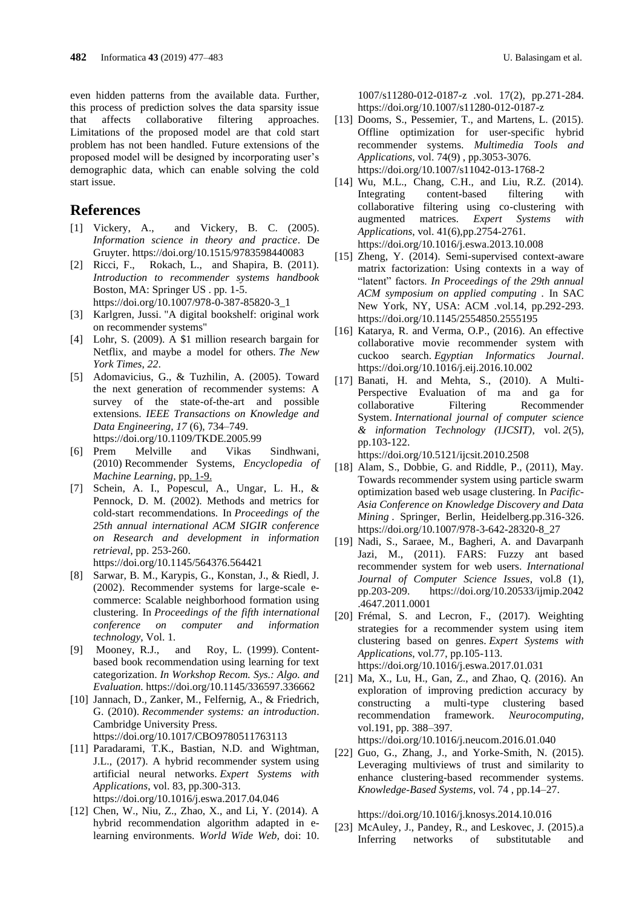even hidden patterns from the available data. Further, this process of prediction solves the data sparsity issue that affects collaborative filtering approaches. Limitations of the proposed model are that cold start problem has not been handled. Future extensions of the proposed model will be designed by incorporating user's demographic data, which can enable solving the cold start issue.

### **References**

- [1] Vickery, A., and Vickery, B. C. (2005). *Information science in theory and practice*. De Gruyter. <https://doi.org/10.1515/9783598440083>
- [2] Ricci, F., Rokach, L., and Shapira, B. (2011). *Introduction to recommender systems handbook*  Boston, MA: Springer US . pp. 1-5. [https://doi.org/10.1007/978-0-387-85820-3\\_1](https://doi.org/10.1007/978-0-387-85820-3_1)
- [3] Karlgren, Jussi. ["A digital bookshelf: original work](https://jussikarlgren.wordpress.com/2017/10/01/a-digital-bookshelf-original-work-on-recommender-systems/)  [on recommender systems"](https://jussikarlgren.wordpress.com/2017/10/01/a-digital-bookshelf-original-work-on-recommender-systems/)
- [4] Lohr, S. (2009). A \$1 million research bargain for Netflix, and maybe a model for others. *The New York Times*, *22*.
- [5] Adomavicius, G., & Tuzhilin, A. (2005). Toward the next generation of recommender systems: A survey of the state-of-the-art and possible extensions. *IEEE Transactions on Knowledge and Data Engineering, 17* (6), 734–749. <https://doi.org/10.1109/TKDE.2005.99>
- [6] Prem Melville and Vikas Sindhwani, (2010) [Recommender Systems,](http://www.prem-melville.com/publications/recommender-systems-eml2010.pdf) *Encyclopedia of Machine Learning,* pp. 1-9.
- [7] Schein, A. I., Popescul, A., Ungar, L. H., & Pennock, D. M. (2002). Methods and metrics for cold-start recommendations. In *Proceedings of the 25th annual international ACM SIGIR conference on Research and development in information retrieval*, pp. 253-260. <https://doi.org/10.1145/564376.564421>
- [8] Sarwar, B. M., Karypis, G., Konstan, J., & Riedl, J. (2002). Recommender systems for large-scale ecommerce: Scalable neighborhood formation using clustering. In *Proceedings of the fifth international conference on computer and information technology*, Vol. 1.
- [9] Mooney, R.J., and Roy, L. (1999). Contentbased book recommendation using learning for text categorization. *In Workshop Recom. Sys.: Algo. and Evaluation.* <https://doi.org/10.1145/336597.336662>
- [10] Jannach, D., Zanker, M., Felfernig, A., & Friedrich, G. (2010). *Recommender systems: an introduction*. Cambridge University Press. <https://doi.org/10.1017/CBO9780511763113>
- [11] Paradarami, T.K., Bastian, N.D. and Wightman,
- J.L., (2017). A hybrid recommender system using artificial neural networks. *Expert Systems with Applications*, vol. 83, pp.300-313. <https://doi.org/10.1016/j.eswa.2017.04.046>
- [12] Chen, W., Niu, Z., Zhao, X., and Li, Y. (2014). A hybrid recommendation algorithm adapted in elearning environments. *World Wide Web,* doi: 10.

1007/s11280-012-0187-z .vol. 17(2), pp.271-284. <https://doi.org/10.1007/s11280-012-0187-z>

- [13] Dooms, S., Pessemier, T., and Martens, L. (2015). Offline optimization for user-specific hybrid recommender systems. *Multimedia Tools and Applications,* vol. 74(9) , pp.3053-3076. <https://doi.org/10.1007/s11042-013-1768-2>
- [14] Wu, M.L., Chang, C.H., and Liu, R.Z. (2014). Integrating content-based filtering with collaborative filtering using co-clustering with augmented matrices*. Expert Systems with Applications*, vol. 41(6),pp.2754-2761. <https://doi.org/10.1016/j.eswa.2013.10.008>
- [15] Zheng, Y. (2014). Semi-supervised context-aware matrix factorization: Using contexts in a way of "latent" factors. *In Proceedings of the 29th annual ACM symposium on applied computing .* In SAC New York, NY, USA: ACM .vol.14, pp.292-293. <https://doi.org/10.1145/2554850.2555195>
- [16] Katarya, R. and Verma, O.P., (2016). An effective collaborative movie recommender system with cuckoo search. *Egyptian Informatics Journal*. <https://doi.org/10.1016/j.eij.2016.10.002>
- [17] Banati, H. and Mehta, S., (2010). A Multi-Perspective Evaluation of ma and ga for collaborative Filtering Recommender System. *International journal of computer science & information Technology (IJCSIT)*, vol. *2*(5), pp.103-122.

<https://doi.org/10.5121/ijcsit.2010.2508>

- [18] Alam, S., Dobbie, G. and Riddle, P., (2011), May. Towards recommender system using particle swarm optimization based web usage clustering. In *Pacific-Asia Conference on Knowledge Discovery and Data Mining* . Springer, Berlin, Heidelberg.pp.316-326. [https://doi.org/10.1007/978-3-642-28320-8\\_27](https://doi.org/10.1007/978-3-642-28320-8_27)
- [19] Nadi, S., Saraee, M., Bagheri, A. and Davarpanh Jazi, M., (2011). FARS: Fuzzy ant based recommender system for web users. *International Journal of Computer Science Issues*, vol.8 (1), pp.203-209. [https://doi.org/10.20533/ijmip.2042](https://doi.org/10.20533/ijmip.2042%20.4647.2011.0001)  [.4647.2011.0001](https://doi.org/10.20533/ijmip.2042%20.4647.2011.0001)
- [20] Frémal, S. and Lecron, F., (2017). Weighting strategies for a recommender system using item clustering based on genres. *Expert Systems with Applications*, vol.77, pp.105-113. <https://doi.org/10.1016/j.eswa.2017.01.031>
- [21] Ma, X., Lu, H., Gan, Z., and Zhao, Q. (2016). An exploration of improving prediction accuracy by constructing a multi-type clustering based recommendation framework. *Neurocomputing,* vol.191, pp. 388–397.

<https://doi.org/10.1016/j.neucom.2016.01.040>

[22] Guo, G., Zhang, J., and Yorke-Smith, N. (2015). Leveraging multiviews of trust and similarity to enhance clustering-based recommender systems. *Knowledge-Based Systems*, vol. 74 , pp.14–27.

<https://doi.org/10.1016/j.knosys.2014.10.016>

[23] McAuley, J., Pandey, R., and Leskovec, J. (2015).a Inferring networks of substitutable and